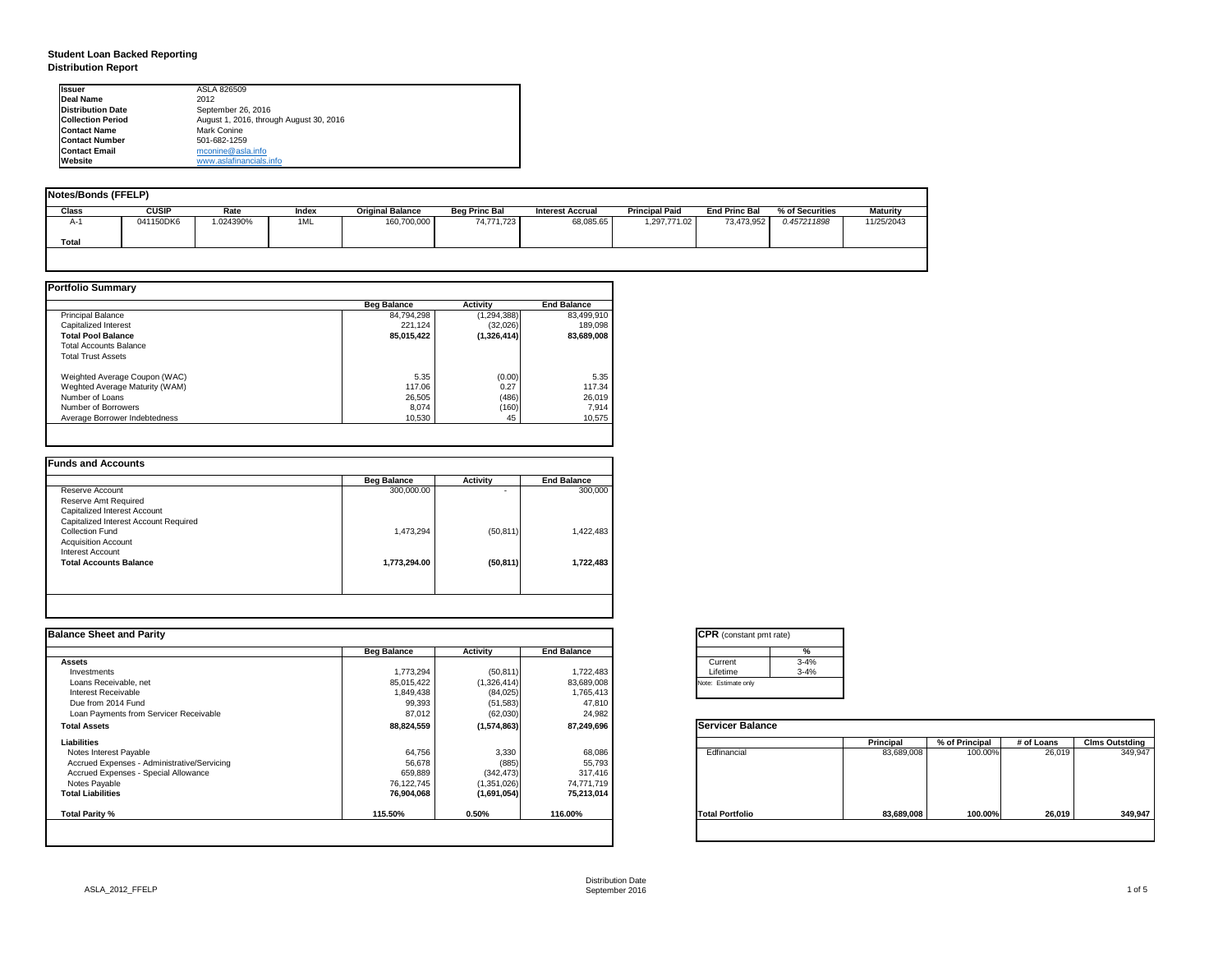| tant pmt rate) |          |  |  |  |  |  |  |
|----------------|----------|--|--|--|--|--|--|
|                | %        |  |  |  |  |  |  |
|                | $3 - 4%$ |  |  |  |  |  |  |
|                | $3 - 4%$ |  |  |  |  |  |  |
| only           |          |  |  |  |  |  |  |

|      | <b>Principal</b> | % of Principal | # of Loans | <b>Clms Outstding</b> |
|------|------------------|----------------|------------|-----------------------|
| al   | 83,689,008       | 100.00%        | 26,019     | 349,947               |
| olic | 83,689,008       | 100.00%        | 26,019     | 349,947               |

## **Student Loan Backed Reporting Distribution Report**

| <b>Notes/Bonds (FFELP)</b> |              |          |       |                         |                      |                         |                       |                      |                 |                 |
|----------------------------|--------------|----------|-------|-------------------------|----------------------|-------------------------|-----------------------|----------------------|-----------------|-----------------|
| <b>Class</b>               | <b>CUSIP</b> | Rate     | Index | <b>Original Balance</b> | <b>Beg Princ Bal</b> | <b>Interest Accrual</b> | <b>Principal Paid</b> | <b>End Princ Bal</b> | % of Securities | <b>Maturity</b> |
| A-1                        | 041150DK6    | .024390% | 1ML   | 160,700,000             | 74,771,723           | 68,085.65               | 1,297,771.02          | 73,473,952           | 0.457211898     | 11/25/2043      |
| <b>Total</b>               |              |          |       |                         |                      |                         |                       |                      |                 |                 |
|                            |              |          |       |                         |                      |                         |                       |                      |                 |                 |

|                                | <b>Beg Balance</b> | <b>Activity</b> | <b>End Balance</b> |
|--------------------------------|--------------------|-----------------|--------------------|
| <b>Principal Balance</b>       | 84,794,298         | (1, 294, 388)   | 83,499,910         |
| Capitalized Interest           | 221,124            | (32,026)        | 189,098            |
| <b>Total Pool Balance</b>      | 85,015,422         | (1,326,414)     | 83,689,008         |
| <b>Total Accounts Balance</b>  |                    |                 |                    |
| <b>Total Trust Assets</b>      |                    |                 |                    |
| Weighted Average Coupon (WAC)  | 5.35               | (0.00)          | 5.35               |
| Weghted Average Maturity (WAM) | 117.06             | 0.27            | 117.34             |
| Number of Loans                | 26,505             | (486)           | 26,019             |
| Number of Borrowers            | 8,074              | (160)           | 7,914              |
| Average Borrower Indebtedness  | 10,530             | 45              | 10,575             |

|                                       | <b>Beg Balance</b> | <b>Activity</b> | <b>End Balance</b> |
|---------------------------------------|--------------------|-----------------|--------------------|
| Reserve Account                       | 300,000.00         | ٠               | 300,000            |
| <b>Reserve Amt Required</b>           |                    |                 |                    |
| <b>Capitalized Interest Account</b>   |                    |                 |                    |
| Capitalized Interest Account Required |                    |                 |                    |
| <b>Collection Fund</b>                | 1,473,294          | (50, 811)       | 1,422,483          |
| <b>Acquisition Account</b>            |                    |                 |                    |
| Interest Account                      |                    |                 |                    |
| <b>Total Accounts Balance</b>         | 1,773,294.00       | (50, 811)       | 1,722,483          |
|                                       |                    |                 |                    |

| <b>I</b> lssuer          | ASLA 826509                             |
|--------------------------|-----------------------------------------|
| <b>IDeal Name</b>        | 2012                                    |
| <b>Distribution Date</b> | September 26, 2016                      |
| <b>Collection Period</b> | August 1, 2016, through August 30, 2016 |
| <b>IContact Name</b>     | Mark Conine                             |
| <b>Contact Number</b>    | 501-682-1259                            |
| <b>Contact Email</b>     | mconine@asla.info                       |
| <b>IWebsite</b>          | www.aslafinancials.info                 |

| <b>End Balance</b><br><b>Beg Balance</b><br><b>Activity</b><br>1,773,294<br>(50, 811)<br>1,722,483<br>85,015,422<br>(1,326,414)<br>83,689,008<br>1,849,438<br>(84, 025)<br>1,765,413<br>99,393<br>(51, 583)<br>47,810<br>24,982<br>87,012<br>(62,030)<br>88,824,559<br>(1,574,863)<br>87,249,696 | Current<br>Lifetime<br>Note: Estimate only<br><b>Servicer Balance</b> | %<br>$3 - 4%$<br>$3 - 4%$ |                  |                |            |                       |
|--------------------------------------------------------------------------------------------------------------------------------------------------------------------------------------------------------------------------------------------------------------------------------------------------|-----------------------------------------------------------------------|---------------------------|------------------|----------------|------------|-----------------------|
|                                                                                                                                                                                                                                                                                                  |                                                                       |                           |                  |                |            |                       |
|                                                                                                                                                                                                                                                                                                  |                                                                       |                           |                  |                |            |                       |
|                                                                                                                                                                                                                                                                                                  |                                                                       |                           |                  |                |            |                       |
|                                                                                                                                                                                                                                                                                                  |                                                                       |                           |                  |                |            |                       |
|                                                                                                                                                                                                                                                                                                  |                                                                       |                           |                  |                |            |                       |
|                                                                                                                                                                                                                                                                                                  |                                                                       |                           |                  |                |            |                       |
|                                                                                                                                                                                                                                                                                                  |                                                                       |                           |                  |                |            |                       |
|                                                                                                                                                                                                                                                                                                  |                                                                       |                           |                  |                |            |                       |
|                                                                                                                                                                                                                                                                                                  |                                                                       |                           | <b>Principal</b> | % of Principal | # of Loans | <b>Clms Outstding</b> |
| 64,756<br>3,330<br>68,086                                                                                                                                                                                                                                                                        | Edfinancial                                                           |                           | 83,689,008       | 100.00%        | 26,019     | 349,947               |
| 56,678<br>(885)<br>55,793                                                                                                                                                                                                                                                                        |                                                                       |                           |                  |                |            |                       |
| 659,889<br>317,416<br>(342, 473)                                                                                                                                                                                                                                                                 |                                                                       |                           |                  |                |            |                       |
| 76,122,745<br>(1,351,026)<br>74,771,719                                                                                                                                                                                                                                                          |                                                                       |                           |                  |                |            |                       |
| 76,904,068<br>(1,691,054)<br>75,213,014                                                                                                                                                                                                                                                          |                                                                       |                           |                  |                |            |                       |
| 0.50%<br>116.00%<br>115.50%                                                                                                                                                                                                                                                                      | <b>Total Portfolio</b>                                                |                           | 83,689,008       | 100.00%        | 26,019     | 349,947               |
|                                                                                                                                                                                                                                                                                                  |                                                                       |                           |                  |                |            |                       |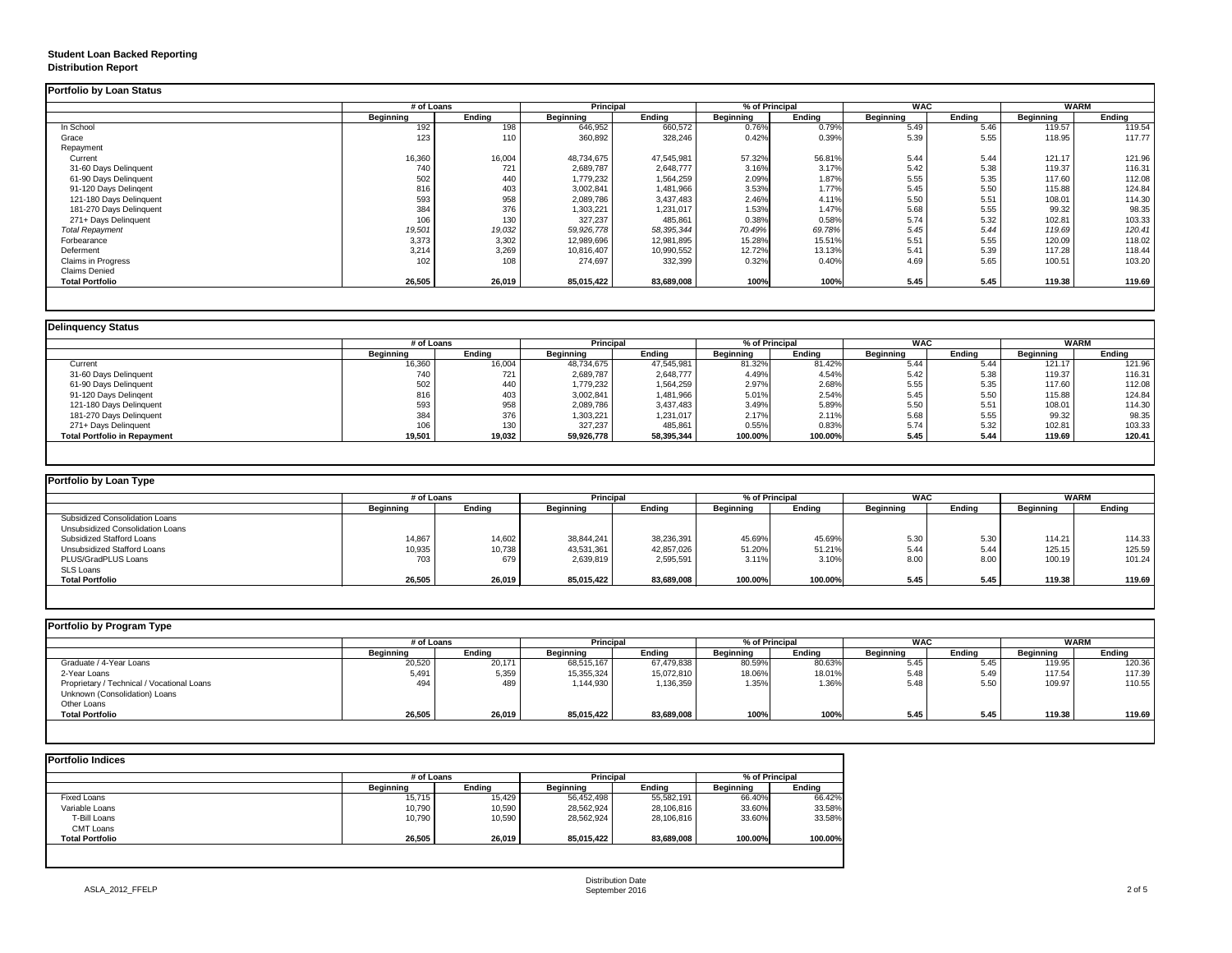## **Student Loan Backed Reporting Distribution Report**

### **Delinquency Status**

|                         |                  | # of Loans    |                  |               | % of Principal<br><b>Principal</b> |               | <b>WAC</b>       |               | <b>WARM</b>      |               |
|-------------------------|------------------|---------------|------------------|---------------|------------------------------------|---------------|------------------|---------------|------------------|---------------|
|                         | <b>Beginning</b> | <b>Ending</b> | <b>Beginning</b> | <b>Ending</b> | <b>Beginning</b>                   | <b>Ending</b> | <b>Beginning</b> | <b>Ending</b> | <b>Beginning</b> | <b>Ending</b> |
| In School               | 192              | 198           | 646,952          | 660,572       | 0.76%                              | 0.79%         | 5.49             | 5.46          | 119.57           | 119.54        |
| Grace                   | 123              | 110           | 360,892          | 328,246       | 0.42%                              | 0.39%         | 5.39             | 5.55          | 118.95           | 117.77        |
| Repayment               |                  |               |                  |               |                                    |               |                  |               |                  |               |
| Current                 | 16,360           | 16,004        | 48,734,675       | 47,545,981    | 57.32%                             | 56.81%        | 5.44             | 5.44          | 121.17           | 121.96        |
| 31-60 Days Delinquent   | 740              | 721           | 2,689,787        | 2,648,777     | 3.16%                              | 3.17%         | 5.42             | 5.38          | 119.37           | 116.31        |
| 61-90 Days Delinquent   | 502              | 440           | 1,779,232        | 1,564,259     | 2.09%                              | 1.87%         | 5.55             | 5.35          | 117.60           | 112.08        |
| 91-120 Days Delingent   | 816              | 403           | 3,002,841        | 1,481,966     | 3.53%                              | 1.77%         | 5.45             | 5.50          | 115.88           | 124.84        |
| 121-180 Days Delinquent | 593              | 958           | 2,089,786        | 3,437,483     | 2.46%                              | 4.11%         | 5.50             | 5.51          | 108.01           | 114.30        |
| 181-270 Days Delinquent | 384              | 376           | 1,303,221        | 1,231,017     | 1.53%                              | 1.47%         | 5.68             | 5.55          | 99.32            | 98.35         |
| 271+ Days Delinquent    | 106              | 130           | 327,237          | 485,861       | 0.38%                              | 0.58%         | 5.74             | 5.32          | 102.81           | 103.33        |
| <b>Total Repayment</b>  | 19,501           | 19,032        | 59,926,778       | 58,395,344    | 70.49%                             | 69.78%        | 5.45             | 5.44          | 119.69           | 120.41        |
| Forbearance             | 3,373            | 3,302         | 12,989,696       | 12,981,895    | 15.28%                             | 15.51%        | 5.51             | 5.55          | 120.09           | 118.02        |
| Deferment               | 3,214            | 3,269         | 10,816,407       | 10,990,552    | 12.72%                             | 13.13%        | 5.41             | 5.39          | 117.28           | 118.44        |
| Claims in Progress      | 102              | 108           | 274,697          | 332,399       | 0.32%                              | 0.40%         | 4.69             | 5.65          | 100.51           | 103.20        |
| <b>Claims Denied</b>    |                  |               |                  |               |                                    |               |                  |               |                  |               |
| <b>Total Portfolio</b>  | 26,505           | 26,019        | 85,015,422       | 83,689,008    | 100%                               | 100%          | 5.45             | 5.45          | 119.38           | 119.69        |

| Delinquency Status                  |                  |               |                  |                  |                  |                |                  |               |                  |               |
|-------------------------------------|------------------|---------------|------------------|------------------|------------------|----------------|------------------|---------------|------------------|---------------|
|                                     |                  | # of Loans    |                  | <b>Principal</b> |                  | % of Principal |                  | <b>WAC</b>    |                  | <b>WARM</b>   |
|                                     | <b>Beginning</b> | <b>Ending</b> | <b>Beginning</b> | Ending           | <b>Beginning</b> | <b>Ending</b>  | <b>Beginning</b> | <b>Ending</b> | <b>Beginning</b> | <b>Ending</b> |
| Current                             | 16,360           | 16,004        | 48,734,675       | 47,545,981       | 81.32%           | 81.42%         | 5.44             | 5.44          | 121.17           | 121.96        |
| 31-60 Days Delinquent               | 740              | 721           | 2,689,787        | 2,648,777        | 4.49%            | 4.54%          | 5.42             | 5.38          | 119.37           | 116.31        |
| 61-90 Days Delinquent               | 502              | 440           | 1,779,232        | 1,564,259        | 2.97%            | 2.68%          | 5.55             | 5.35          | 117.60           | 112.08        |
| 91-120 Days Delingent               | 816              | 403           | 3,002,841        | 1,481,966        | 5.01%            | 2.54%          | 5.45             | 5.50          | 115.88           | 124.84        |
| 121-180 Days Delinquent             | 593              | 958           | 2,089,786        | 3,437,483        | 3.49%            | 5.89%          | 5.50             | 5.51          | 108.01           | 114.30        |
| 181-270 Days Delinquent             | 384              | 376           | 1,303,221        | 1,231,017        | 2.17%            | 2.11%          | 5.68             | 5.55          | 99.32            | 98.35         |
| 271+ Days Delinquent                | 106              | 130           | 327,237          | 485,861          | 0.55%            | 0.83%          | 5.74             | 5.32          | 102.81           | 103.33        |
| <b>Total Portfolio in Repayment</b> | 19,501           | 19,032        | 59,926,778       | 58,395,344       | 100.00%          | 100.00%        | 5.45             | 5.44          | 119.69           | 120.41        |
|                                     |                  |               |                  |                  |                  |                |                  |               |                  |               |

| Portfolio by Loan Type                |                  |               |                  |               |                  |               |                  |                  |                  |        |
|---------------------------------------|------------------|---------------|------------------|---------------|------------------|---------------|------------------|------------------|------------------|--------|
|                                       | # of Loans       |               | <b>Principal</b> |               | % of Principal   |               | <b>WAC</b>       |                  | <b>WARM</b>      |        |
|                                       | <b>Beginning</b> | <b>Ending</b> | <b>Beginning</b> | <b>Ending</b> | <b>Beginning</b> | <b>Ending</b> | <b>Beginning</b> | <b>Ending</b>    | <b>Beginning</b> | Ending |
| <b>Subsidized Consolidation Loans</b> |                  |               |                  |               |                  |               |                  |                  |                  |        |
| Unsubsidized Consolidation Loans      |                  |               |                  |               |                  |               |                  |                  |                  |        |
| <b>Subsidized Stafford Loans</b>      | 14,867           | 14,602        | 38,844,241       | 38,236,391    | 45.69%           | 45.69%        | 5.30             | 5.3 <sub>0</sub> | 114.21           | 114.33 |
| <b>Unsubsidized Stafford Loans</b>    | 10,935           | 10,738        | 43,531,361       | 42,857,026    | 51.20%           | 51.21%        | 5.44             | 5.44             | 125.15           | 125.59 |
| PLUS/GradPLUS Loans                   | 703              | 679           | 2,639,819        | 2,595,591     | 3.11%            | 3.10%         | 8.00             | 8.00             | 100.19           | 101.24 |
| <b>SLS Loans</b>                      |                  |               |                  |               |                  |               |                  |                  |                  |        |
| <b>Total Portfolio</b>                | 26,505           | 26,019        | 85,015,422       | 83,689,008    | 100.00%          | 100.00%       | 5.45             | 5.45             | 119.38           | 119.69 |

| <b>Portfolio by Program Type</b>           |                  |               |                  |                  |                  |                |                  |               |                  |               |
|--------------------------------------------|------------------|---------------|------------------|------------------|------------------|----------------|------------------|---------------|------------------|---------------|
|                                            |                  | # of Loans    |                  | <b>Principal</b> |                  | % of Principal |                  | <b>WAC</b>    | <b>WARM</b>      |               |
|                                            | <b>Beginning</b> | <b>Ending</b> | <b>Beginning</b> | <b>Ending</b>    | <b>Beginning</b> | <b>Ending</b>  | <b>Beginning</b> | <b>Ending</b> | <b>Beginning</b> | <b>Ending</b> |
| Graduate / 4-Year Loans                    | 20,520           | 20,171        | 68,515,167       | 67,479,838       | 80.59%           | 80.63%         | 5.45             | 5.45          | 119.95           | 120.36        |
| 2-Year Loans                               | 5,491            | 5,359         | 15,355,324       | 15,072,810       | 18.06%           | 18.01%         | 5.48             | 5.49          | 117.54           | 117.39        |
| Proprietary / Technical / Vocational Loans | 494              | 489           | 1,144,930        | 1,136,359        | 1.35%            | 1.36%          | 5.48             | 5.50          | 109.97           | 110.55        |
| Unknown (Consolidation) Loans              |                  |               |                  |                  |                  |                |                  |               |                  |               |
| Other Loans                                |                  |               |                  |                  |                  |                |                  |               |                  |               |
| <b>Total Portfolio</b>                     | 26,505           | 26,019        | 85,015,422       | 83,689,008       | 100%             | 100%           | 5.45             | 5.45          | 119.38           | 119.69        |
|                                            |                  |               |                  |                  |                  |                |                  |               |                  |               |

| <b>Portfolio Indices</b> |                  |               |                  |               |                  |               |
|--------------------------|------------------|---------------|------------------|---------------|------------------|---------------|
|                          | # of Loans       |               | <b>Principal</b> |               | % of Principal   |               |
|                          | <b>Beginning</b> | <b>Ending</b> | <b>Beginning</b> | <b>Ending</b> | <b>Beginning</b> | <b>Ending</b> |
| <b>Fixed Loans</b>       | 15,715           | 15,429        | 56,452,498       | 55,582,191    | 66.40%           | 66.42%        |
| Variable Loans           | 10,790           | 10,590        | 28,562,924       | 28,106,816    | 33.60%           | 33.58%        |
| T-Bill Loans             | 10,790           | 10,590        | 28,562,924       | 28,106,816    | 33.60%           | 33.58%        |
| <b>CMT Loans</b>         |                  |               |                  |               |                  |               |
| <b>Total Portfolio</b>   | 26,505           | 26,019        | 85,015,422       | 83,689,008    | 100.00%          | 100.00%       |
|                          |                  |               |                  |               |                  |               |
|                          |                  |               |                  |               |                  |               |
|                          |                  |               |                  |               |                  |               |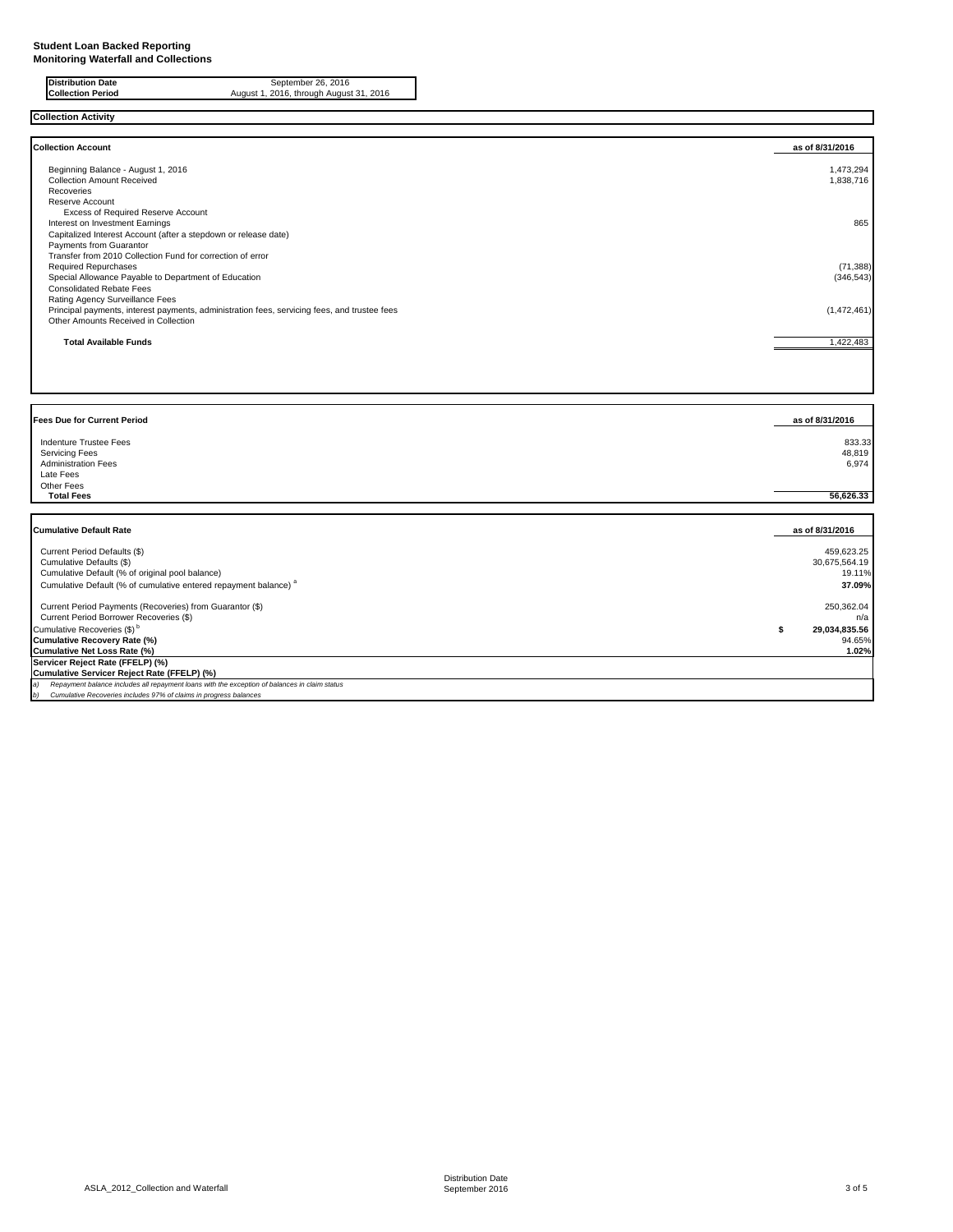**Collection Activity**

| <b>Collection Account</b>                                                                    | as of 8/31/2016 |
|----------------------------------------------------------------------------------------------|-----------------|
| Beginning Balance - August 1, 2016                                                           | 1,473,294       |
| <b>Collection Amount Received</b>                                                            | 1,838,716       |
| Recoveries                                                                                   |                 |
| Reserve Account                                                                              |                 |
| <b>Excess of Required Reserve Account</b>                                                    |                 |
| Interest on Investment Earnings                                                              | 865             |
| Capitalized Interest Account (after a stepdown or release date)                              |                 |
| <b>Payments from Guarantor</b>                                                               |                 |
| Transfer from 2010 Collection Fund for correction of error                                   |                 |
| <b>Required Repurchases</b>                                                                  | (71, 388)       |
| Special Allowance Payable to Department of Education                                         | (346, 543)      |
| <b>Consolidated Rebate Fees</b>                                                              |                 |
| <b>Rating Agency Surveillance Fees</b>                                                       |                 |
| Principal payments, interest payments, administration fees, servicing fees, and trustee fees | (1,472,461)     |
| Other Amounts Received in Collection                                                         |                 |
| <b>Total Available Funds</b>                                                                 | 1,422,483       |

**Distribution Date** September 26, 2016 **Collection Period** August 1, 2016, through August 31, 2016

| <b>Fees Due for Current Period</b>                                                                              | as of 8/31/2016           |
|-----------------------------------------------------------------------------------------------------------------|---------------------------|
| <b>Indenture Trustee Fees</b><br><b>Servicing Fees</b><br><b>Administration Fees</b><br>Late Fees<br>Other Fees | 833.33<br>48,819<br>6,974 |
| <b>Total Fees</b>                                                                                               | 56,626.33                 |

| <b>Cumulative Default Rate</b>                                                                       | as of 8/31/2016 |
|------------------------------------------------------------------------------------------------------|-----------------|
| Current Period Defaults (\$)                                                                         | 459,623.25      |
| Cumulative Defaults (\$)                                                                             | 30,675,564.19   |
| Cumulative Default (% of original pool balance)                                                      | 19.11%          |
| Cumulative Default (% of cumulative entered repayment balance) <sup>a</sup>                          | 37.09%          |
| Current Period Payments (Recoveries) from Guarantor (\$)                                             | 250,362.04      |
| Current Period Borrower Recoveries (\$)                                                              | n/a             |
| Cumulative Recoveries (\$) <sup>b</sup>                                                              | 29,034,835.56   |
| Cumulative Recovery Rate (%)                                                                         | 94.65%          |
| Cumulative Net Loss Rate (%)                                                                         | 1.02%           |
| Servicer Reject Rate (FFELP) (%)                                                                     |                 |
| Cumulative Servicer Reject Rate (FFELP) (%)                                                          |                 |
| Repayment balance includes all repayment loans with the exception of balances in claim status<br>la) |                 |
| Cumulative Recoveries includes 97% of claims in progress balances<br> b)                             |                 |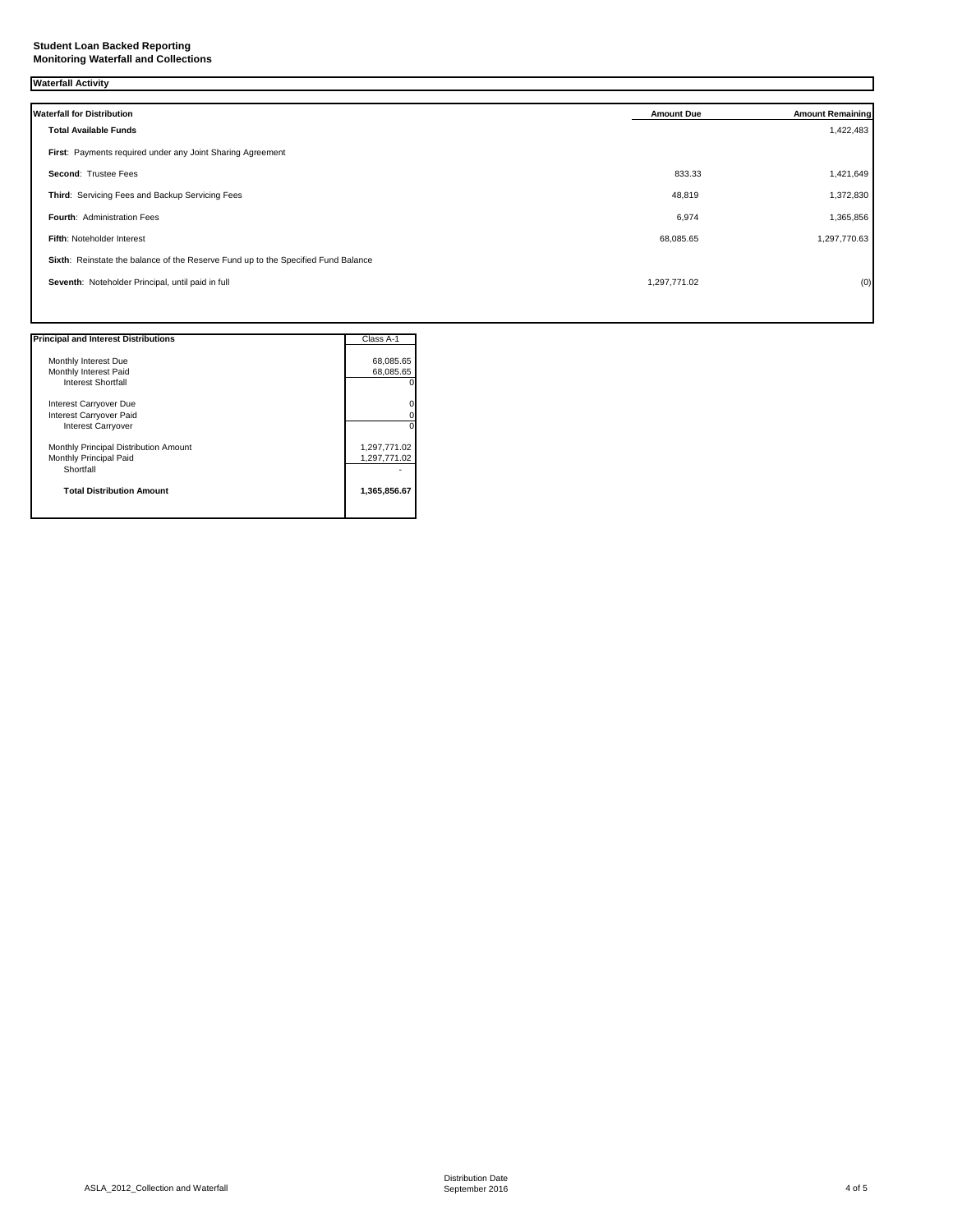## **Student Loan Backed Reporting Monitoring Waterfall and Collections**

# **Waterfall Activity**

| <b>Waterfall for Distribution</b>                                                 | <b>Amount Due</b> | <b>Amount Remaining</b> |
|-----------------------------------------------------------------------------------|-------------------|-------------------------|
| <b>Total Available Funds</b>                                                      |                   | 1,422,483               |
| First: Payments required under any Joint Sharing Agreement                        |                   |                         |
| <b>Second: Trustee Fees</b>                                                       | 833.33            | 1,421,649               |
| Third: Servicing Fees and Backup Servicing Fees                                   | 48,819            | 1,372,830               |
| <b>Fourth: Administration Fees</b>                                                | 6,974             | 1,365,856               |
| Fifth: Noteholder Interest                                                        | 68,085.65         | 1,297,770.63            |
| Sixth: Reinstate the balance of the Reserve Fund up to the Specified Fund Balance |                   |                         |
| Seventh: Noteholder Principal, until paid in full                                 | 1,297,771.02      | (0)                     |
|                                                                                   |                   |                         |

| <b>Principal and Interest Distributions</b> | Class A-1    |
|---------------------------------------------|--------------|
|                                             |              |
| Monthly Interest Due                        | 68,085.65    |
| Monthly Interest Paid                       | 68,085.65    |
| <b>Interest Shortfall</b>                   |              |
| Interest Carryover Due                      |              |
| Interest Carryover Paid                     |              |
| Interest Carryover                          |              |
| Monthly Principal Distribution Amount       | 1,297,771.02 |
| Monthly Principal Paid                      | 1,297,771.02 |
| Shortfall                                   |              |
| <b>Total Distribution Amount</b>            | 1,365,856.67 |
|                                             |              |